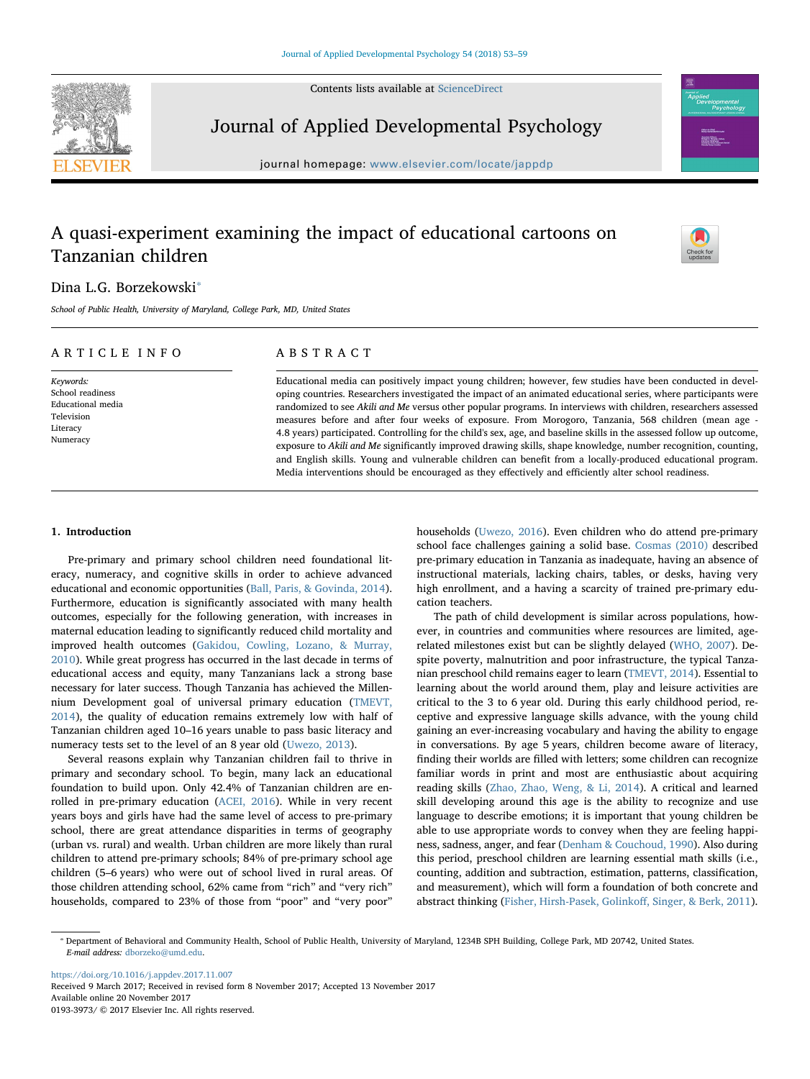Contents lists available at [ScienceDirect](http://www.sciencedirect.com/science/journal/01933973)



Journal of Applied Developmental Psychology

journal homepage: [www.elsevier.com/locate/jappdp](https://www.elsevier.com/locate/jappdp)

# A quasi-experiment examining the impact of educational cartoons on Tanzanian children



## Dina L.G. Borzekowski<sup>\*</sup>

School of Public Health, University of Maryland, College Park, MD, United States

| ARTICLE INFO         | ABSTRACT                                                                                                              |
|----------------------|-----------------------------------------------------------------------------------------------------------------------|
| Keywords:            | Educational media can positively impact young children; however, few studies have been conducted in devel-            |
| School readiness     | oping countries. Researchers investigated the impact of an animated educational series, where participants were       |
| Educational media    | randomized to see Akili and Me versus other popular programs. In interviews with children, researchers assessed       |
| Television           | measures before and after four weeks of exposure. From Morogoro, Tanzania, 568 children (mean age -                   |
| Literacy<br>Numeracy | 4.8 years) participated. Controlling for the child's sex, age, and baseline skills in the assessed follow up outcome, |
|                      | exposure to Akili and Me significantly improved drawing skills, shape knowledge, number recognition, counting,        |
|                      | and English skills. Young and vulnerable children can benefit from a locally-produced educational program.            |
|                      | Media interventions should be encouraged as they effectively and efficiently alter school readiness.                  |

## 1. Introduction

Pre-primary and primary school children need foundational literacy, numeracy, and cognitive skills in order to achieve advanced educational and economic opportunities [\(Ball, Paris, & Govinda, 2014](#page-5-0)). Furthermore, education is significantly associated with many health outcomes, especially for the following generation, with increases in maternal education leading to significantly reduced child mortality and improved health outcomes ([Gakidou, Cowling, Lozano, & Murray,](#page-6-0) [2010\)](#page-6-0). While great progress has occurred in the last decade in terms of educational access and equity, many Tanzanians lack a strong base necessary for later success. Though Tanzania has achieved the Millennium Development goal of universal primary education ([TMEVT,](#page-6-1) [2014\)](#page-6-1), the quality of education remains extremely low with half of Tanzanian children aged 10–16 years unable to pass basic literacy and numeracy tests set to the level of an 8 year old ([Uwezo, 2013\)](#page-6-2).

Several reasons explain why Tanzanian children fail to thrive in primary and secondary school. To begin, many lack an educational foundation to build upon. Only 42.4% of Tanzanian children are enrolled in pre-primary education ([ACEI, 2016\)](#page-5-1). While in very recent years boys and girls have had the same level of access to pre-primary school, there are great attendance disparities in terms of geography (urban vs. rural) and wealth. Urban children are more likely than rural children to attend pre-primary schools; 84% of pre-primary school age children (5–6 years) who were out of school lived in rural areas. Of those children attending school, 62% came from "rich" and "very rich" households, compared to 23% of those from "poor" and "very poor" households [\(Uwezo, 2016](#page-6-3)). Even children who do attend pre-primary school face challenges gaining a solid base. [Cosmas \(2010\)](#page-5-2) described pre-primary education in Tanzania as inadequate, having an absence of instructional materials, lacking chairs, tables, or desks, having very high enrollment, and a having a scarcity of trained pre-primary education teachers.

The path of child development is similar across populations, however, in countries and communities where resources are limited, agerelated milestones exist but can be slightly delayed ([WHO, 2007\)](#page-6-4). Despite poverty, malnutrition and poor infrastructure, the typical Tanzanian preschool child remains eager to learn [\(TMEVT, 2014\)](#page-6-1). Essential to learning about the world around them, play and leisure activities are critical to the 3 to 6 year old. During this early childhood period, receptive and expressive language skills advance, with the young child gaining an ever-increasing vocabulary and having the ability to engage in conversations. By age 5 years, children become aware of literacy, finding their worlds are filled with letters; some children can recognize familiar words in print and most are enthusiastic about acquiring reading skills [\(Zhao, Zhao, Weng, & Li, 2014](#page-6-5)). A critical and learned skill developing around this age is the ability to recognize and use language to describe emotions; it is important that young children be able to use appropriate words to convey when they are feeling happiness, sadness, anger, and fear ([Denham & Couchoud, 1990](#page-6-6)). Also during this period, preschool children are learning essential math skills (i.e., counting, addition and subtraction, estimation, patterns, classification, and measurement), which will form a foundation of both concrete and abstract thinking [\(Fisher, Hirsh-Pasek, Golinko](#page-6-7)ff, Singer, & Berk, 2011).

<https://doi.org/10.1016/j.appdev.2017.11.007>

Received 9 March 2017; Received in revised form 8 November 2017; Accepted 13 November 2017 Available online 20 November 2017 0193-3973/ © 2017 Elsevier Inc. All rights reserved.

<span id="page-0-0"></span><sup>⁎</sup> Department of Behavioral and Community Health, School of Public Health, University of Maryland, 1234B SPH Building, College Park, MD 20742, United States. E-mail address: [dborzeko@umd.edu.](mailto:dborzeko@umd.edu)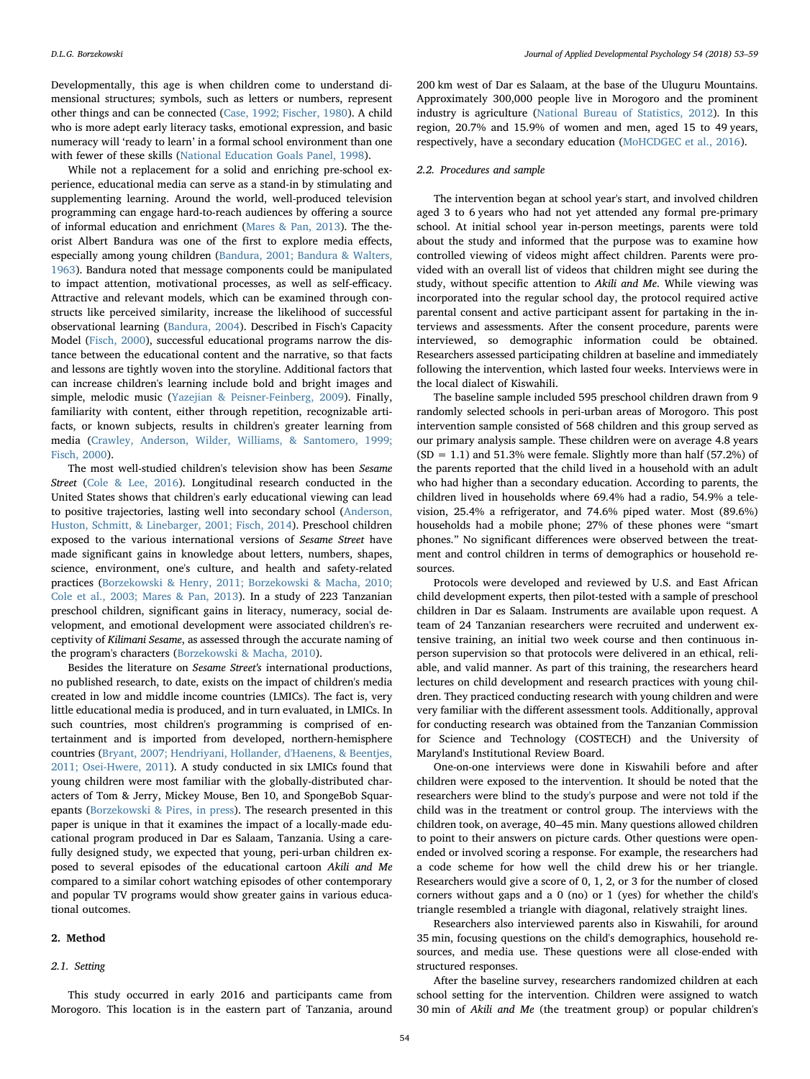Developmentally, this age is when children come to understand dimensional structures; symbols, such as letters or numbers, represent other things and can be connected ([Case, 1992; Fischer, 1980\)](#page-5-3). A child who is more adept early literacy tasks, emotional expression, and basic numeracy will 'ready to learn' in a formal school environment than one with fewer of these skills ([National Education Goals Panel, 1998\)](#page-6-8).

While not a replacement for a solid and enriching pre-school experience, educational media can serve as a stand-in by stimulating and supplementing learning. Around the world, well-produced television programming can engage hard-to-reach audiences by offering a source of informal education and enrichment ([Mares & Pan, 2013](#page-6-9)). The theorist Albert Bandura was one of the first to explore media effects, especially among young children [\(Bandura, 2001; Bandura & Walters,](#page-5-4) [1963\)](#page-5-4). Bandura noted that message components could be manipulated to impact attention, motivational processes, as well as self-efficacy. Attractive and relevant models, which can be examined through constructs like perceived similarity, increase the likelihood of successful observational learning [\(Bandura, 2004](#page-5-5)). Described in Fisch's Capacity Model ([Fisch, 2000](#page-6-10)), successful educational programs narrow the distance between the educational content and the narrative, so that facts and lessons are tightly woven into the storyline. Additional factors that can increase children's learning include bold and bright images and simple, melodic music [\(Yazejian & Peisner-Feinberg, 2009](#page-6-11)). Finally, familiarity with content, either through repetition, recognizable artifacts, or known subjects, results in children's greater learning from media [\(Crawley, Anderson, Wilder, Williams, & Santomero, 1999;](#page-5-6) [Fisch, 2000\)](#page-5-6).

The most well-studied children's television show has been Sesame Street [\(Cole & Lee, 2016](#page-5-7)). Longitudinal research conducted in the United States shows that children's early educational viewing can lead to positive trajectories, lasting well into secondary school ([Anderson,](#page-5-8) [Huston, Schmitt, & Linebarger, 2001; Fisch, 2014\)](#page-5-8). Preschool children exposed to the various international versions of Sesame Street have made significant gains in knowledge about letters, numbers, shapes, science, environment, one's culture, and health and safety-related practices [\(Borzekowski & Henry, 2011; Borzekowski & Macha, 2010;](#page-5-9) [Cole et al., 2003; Mares & Pan, 2013](#page-5-9)). In a study of 223 Tanzanian preschool children, significant gains in literacy, numeracy, social development, and emotional development were associated children's receptivity of Kilimani Sesame, as assessed through the accurate naming of the program's characters [\(Borzekowski & Macha, 2010](#page-5-10)).

Besides the literature on Sesame Street's international productions, no published research, to date, exists on the impact of children's media created in low and middle income countries (LMICs). The fact is, very little educational media is produced, and in turn evaluated, in LMICs. In such countries, most children's programming is comprised of entertainment and is imported from developed, northern-hemisphere countries [\(Bryant, 2007; Hendriyani, Hollander, d'Haenens, & Beentjes,](#page-5-11) [2011; Osei-Hwere, 2011](#page-5-11)). A study conducted in six LMICs found that young children were most familiar with the globally-distributed characters of Tom & Jerry, Mickey Mouse, Ben 10, and SpongeBob Squarepants (Borzekowski [& Pires, in press](#page-5-12)). The research presented in this paper is unique in that it examines the impact of a locally-made educational program produced in Dar es Salaam, Tanzania. Using a carefully designed study, we expected that young, peri-urban children exposed to several episodes of the educational cartoon Akili and Me compared to a similar cohort watching episodes of other contemporary and popular TV programs would show greater gains in various educational outcomes.

#### 2. Method

## 2.1. Setting

This study occurred in early 2016 and participants came from Morogoro. This location is in the eastern part of Tanzania, around

200 km west of Dar es Salaam, at the base of the Uluguru Mountains. Approximately 300,000 people live in Morogoro and the prominent industry is agriculture ([National Bureau of Statistics, 2012](#page-6-12)). In this region, 20.7% and 15.9% of women and men, aged 15 to 49 years, respectively, have a secondary education [\(MoHCDGEC et al., 2016\)](#page-6-13).

#### 2.2. Procedures and sample

The intervention began at school year's start, and involved children aged 3 to 6 years who had not yet attended any formal pre-primary school. At initial school year in-person meetings, parents were told about the study and informed that the purpose was to examine how controlled viewing of videos might affect children. Parents were provided with an overall list of videos that children might see during the study, without specific attention to Akili and Me. While viewing was incorporated into the regular school day, the protocol required active parental consent and active participant assent for partaking in the interviews and assessments. After the consent procedure, parents were interviewed, so demographic information could be obtained. Researchers assessed participating children at baseline and immediately following the intervention, which lasted four weeks. Interviews were in the local dialect of Kiswahili.

The baseline sample included 595 preschool children drawn from 9 randomly selected schools in peri-urban areas of Morogoro. This post intervention sample consisted of 568 children and this group served as our primary analysis sample. These children were on average 4.8 years  $(SD = 1.1)$  and 51.3% were female. Slightly more than half (57.2%) of the parents reported that the child lived in a household with an adult who had higher than a secondary education. According to parents, the children lived in households where 69.4% had a radio, 54.9% a television, 25.4% a refrigerator, and 74.6% piped water. Most (89.6%) households had a mobile phone; 27% of these phones were "smart phones." No significant differences were observed between the treatment and control children in terms of demographics or household resources.

Protocols were developed and reviewed by U.S. and East African child development experts, then pilot-tested with a sample of preschool children in Dar es Salaam. Instruments are available upon request. A team of 24 Tanzanian researchers were recruited and underwent extensive training, an initial two week course and then continuous inperson supervision so that protocols were delivered in an ethical, reliable, and valid manner. As part of this training, the researchers heard lectures on child development and research practices with young children. They practiced conducting research with young children and were very familiar with the different assessment tools. Additionally, approval for conducting research was obtained from the Tanzanian Commission for Science and Technology (COSTECH) and the University of Maryland's Institutional Review Board.

One-on-one interviews were done in Kiswahili before and after children were exposed to the intervention. It should be noted that the researchers were blind to the study's purpose and were not told if the child was in the treatment or control group. The interviews with the children took, on average, 40–45 min. Many questions allowed children to point to their answers on picture cards. Other questions were openended or involved scoring a response. For example, the researchers had a code scheme for how well the child drew his or her triangle. Researchers would give a score of 0, 1, 2, or 3 for the number of closed corners without gaps and a 0 (no) or 1 (yes) for whether the child's triangle resembled a triangle with diagonal, relatively straight lines.

Researchers also interviewed parents also in Kiswahili, for around 35 min, focusing questions on the child's demographics, household resources, and media use. These questions were all close-ended with structured responses.

After the baseline survey, researchers randomized children at each school setting for the intervention. Children were assigned to watch 30 min of Akili and Me (the treatment group) or popular children's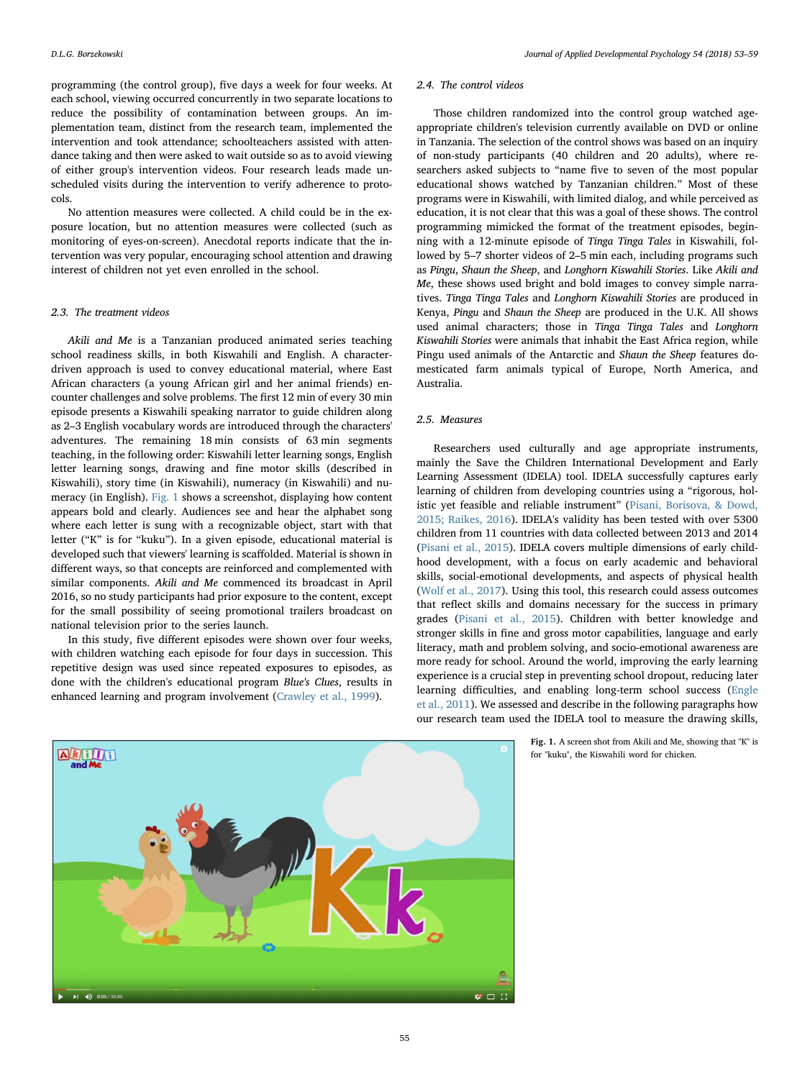programming (the control group), five days a week for four weeks. At each school, viewing occurred concurrently in two separate locations to reduce the possibility of contamination between groups. An implementation team, distinct from the research team, implemented the intervention and took attendance; schoolteachers assisted with attendance taking and then were asked to wait outside so as to avoid viewing of either group's intervention videos. Four research leads made unscheduled visits during the intervention to verify adherence to protocols.

No attention measures were collected. A child could be in the exposure location, but no attention measures were collected (such as monitoring of eyes-on-screen). Anecdotal reports indicate that the intervention was very popular, encouraging school attention and drawing interest of children not yet even enrolled in the school.

## 2.3. The treatment videos

Akili and Me is a Tanzanian produced animated series teaching school readiness skills, in both Kiswahili and English. A characterdriven approach is used to convey educational material, where East African characters (a young African girl and her animal friends) encounter challenges and solve problems. The first 12 min of every 30 min episode presents a Kiswahili speaking narrator to guide children along as 2–3 English vocabulary words are introduced through the characters' adventures. The remaining 18 min consists of 63 min segments teaching, in the following order: Kiswahili letter learning songs, English letter learning songs, drawing and fine motor skills (described in Kiswahili), story time (in Kiswahili), numeracy (in Kiswahili) and numeracy (in English). [Fig. 1](#page-2-0) shows a screenshot, displaying how content appears bold and clearly. Audiences see and hear the alphabet song where each letter is sung with a recognizable object, start with that letter ("K" is for "kuku"). In a given episode, educational material is developed such that viewers' learning is scaffolded. Material is shown in different ways, so that concepts are reinforced and complemented with similar components. Akili and Me commenced its broadcast in April 2016, so no study participants had prior exposure to the content, except for the small possibility of seeing promotional trailers broadcast on national television prior to the series launch.

In this study, five different episodes were shown over four weeks, with children watching each episode for four days in succession. This repetitive design was used since repeated exposures to episodes, as done with the children's educational program Blue's Clues, results in enhanced learning and program involvement ([Crawley et al., 1999\)](#page-5-6).

<span id="page-2-0"></span>

## 2.4. The control videos

Those children randomized into the control group watched ageappropriate children's television currently available on DVD or online in Tanzania. The selection of the control shows was based on an inquiry of non-study participants (40 children and 20 adults), where researchers asked subjects to "name five to seven of the most popular educational shows watched by Tanzanian children." Most of these programs were in Kiswahili, with limited dialog, and while perceived as education, it is not clear that this was a goal of these shows. The control programming mimicked the format of the treatment episodes, beginning with a 12-minute episode of Tinga Tinga Tales in Kiswahili, followed by 5–7 shorter videos of 2–5 min each, including programs such as Pingu, Shaun the Sheep, and Longhorn Kiswahili Stories. Like Akili and Me, these shows used bright and bold images to convey simple narratives. Tinga Tinga Tales and Longhorn Kiswahili Stories are produced in Kenya, Pingu and Shaun the Sheep are produced in the U.K. All shows used animal characters; those in Tinga Tinga Tales and Longhorn Kiswahili Stories were animals that inhabit the East Africa region, while Pingu used animals of the Antarctic and Shaun the Sheep features domesticated farm animals typical of Europe, North America, and Australia.

## 2.5. Measures

Researchers used culturally and age appropriate instruments, mainly the Save the Children International Development and Early Learning Assessment (IDELA) tool. IDELA successfully captures early learning of children from developing countries using a "rigorous, holistic yet feasible and reliable instrument" [\(Pisani, Borisova, & Dowd,](#page-6-14) [2015; Raikes, 2016\)](#page-6-14). IDELA's validity has been tested with over 5300 children from 11 countries with data collected between 2013 and 2014 ([Pisani et al., 2015](#page-6-14)). IDELA covers multiple dimensions of early childhood development, with a focus on early academic and behavioral skills, social-emotional developments, and aspects of physical health ([Wolf et al., 2017\)](#page-6-15). Using this tool, this research could assess outcomes that reflect skills and domains necessary for the success in primary grades [\(Pisani et al., 2015](#page-6-14)). Children with better knowledge and stronger skills in fine and gross motor capabilities, language and early literacy, math and problem solving, and socio-emotional awareness are more ready for school. Around the world, improving the early learning experience is a crucial step in preventing school dropout, reducing later learning difficulties, and enabling long-term school success ([Engle](#page-6-16) [et al., 2011](#page-6-16)). We assessed and describe in the following paragraphs how our research team used the IDELA tool to measure the drawing skills,

> Fig. 1. A screen shot from Akili and Me, showing that "K" is for "kuku", the Kiswahili word for chicken.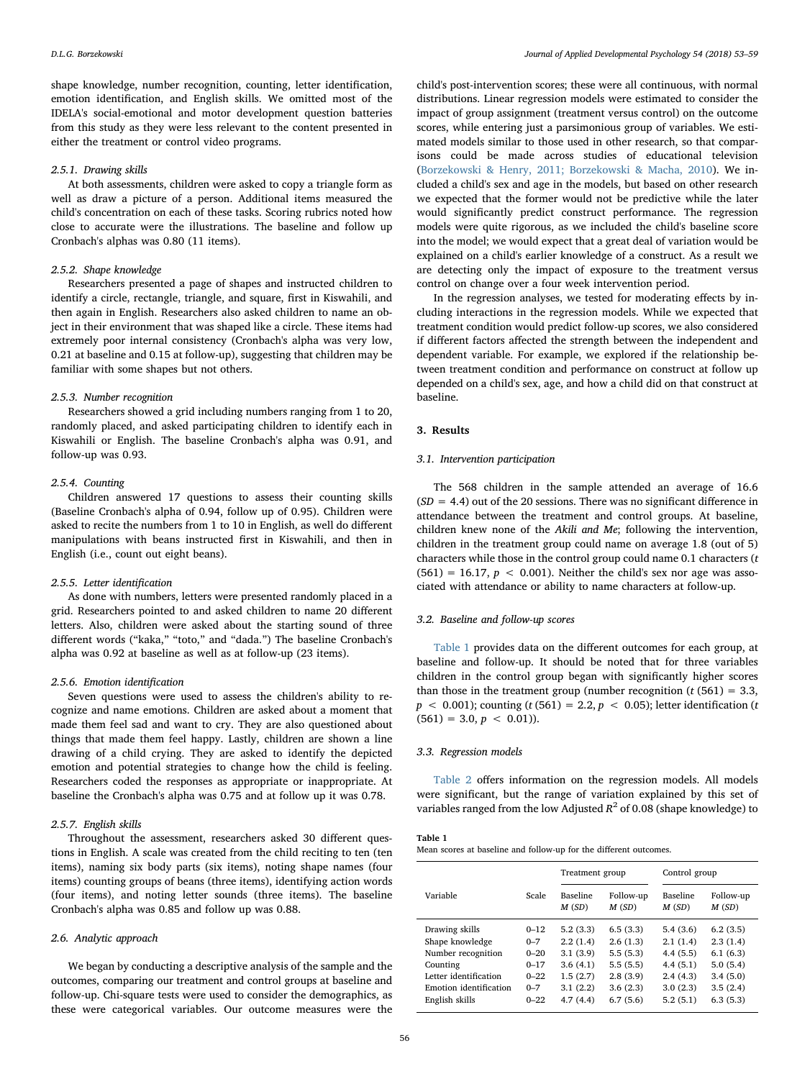shape knowledge, number recognition, counting, letter identification, emotion identification, and English skills. We omitted most of the IDELA's social-emotional and motor development question batteries from this study as they were less relevant to the content presented in either the treatment or control video programs.

#### 2.5.1. Drawing skills

At both assessments, children were asked to copy a triangle form as well as draw a picture of a person. Additional items measured the child's concentration on each of these tasks. Scoring rubrics noted how close to accurate were the illustrations. The baseline and follow up Cronbach's alphas was 0.80 (11 items).

## 2.5.2. Shape knowledge

Researchers presented a page of shapes and instructed children to identify a circle, rectangle, triangle, and square, first in Kiswahili, and then again in English. Researchers also asked children to name an object in their environment that was shaped like a circle. These items had extremely poor internal consistency (Cronbach's alpha was very low, 0.21 at baseline and 0.15 at follow-up), suggesting that children may be familiar with some shapes but not others.

#### 2.5.3. Number recognition

Researchers showed a grid including numbers ranging from 1 to 20, randomly placed, and asked participating children to identify each in Kiswahili or English. The baseline Cronbach's alpha was 0.91, and follow-up was 0.93.

## 2.5.4. Counting

Children answered 17 questions to assess their counting skills (Baseline Cronbach's alpha of 0.94, follow up of 0.95). Children were asked to recite the numbers from 1 to 10 in English, as well do different manipulations with beans instructed first in Kiswahili, and then in English (i.e., count out eight beans).

## 2.5.5. Letter identification

As done with numbers, letters were presented randomly placed in a grid. Researchers pointed to and asked children to name 20 different letters. Also, children were asked about the starting sound of three different words ("kaka," "toto," and "dada.") The baseline Cronbach's alpha was 0.92 at baseline as well as at follow-up (23 items).

## 2.5.6. Emotion identification

Seven questions were used to assess the children's ability to recognize and name emotions. Children are asked about a moment that made them feel sad and want to cry. They are also questioned about things that made them feel happy. Lastly, children are shown a line drawing of a child crying. They are asked to identify the depicted emotion and potential strategies to change how the child is feeling. Researchers coded the responses as appropriate or inappropriate. At baseline the Cronbach's alpha was 0.75 and at follow up it was 0.78.

## 2.5.7. English skills

Throughout the assessment, researchers asked 30 different questions in English. A scale was created from the child reciting to ten (ten items), naming six body parts (six items), noting shape names (four items) counting groups of beans (three items), identifying action words (four items), and noting letter sounds (three items). The baseline Cronbach's alpha was 0.85 and follow up was 0.88.

## 2.6. Analytic approach

We began by conducting a descriptive analysis of the sample and the outcomes, comparing our treatment and control groups at baseline and follow-up. Chi-square tests were used to consider the demographics, as these were categorical variables. Our outcome measures were the

child's post-intervention scores; these were all continuous, with normal distributions. Linear regression models were estimated to consider the impact of group assignment (treatment versus control) on the outcome scores, while entering just a parsimonious group of variables. We estimated models similar to those used in other research, so that comparisons could be made across studies of educational television ([Borzekowski & Henry, 2011; Borzekowski & Macha, 2010](#page-5-9)). We included a child's sex and age in the models, but based on other research we expected that the former would not be predictive while the later would significantly predict construct performance. The regression models were quite rigorous, as we included the child's baseline score into the model; we would expect that a great deal of variation would be explained on a child's earlier knowledge of a construct. As a result we are detecting only the impact of exposure to the treatment versus control on change over a four week intervention period.

In the regression analyses, we tested for moderating effects by including interactions in the regression models. While we expected that treatment condition would predict follow-up scores, we also considered if different factors affected the strength between the independent and dependent variable. For example, we explored if the relationship between treatment condition and performance on construct at follow up depended on a child's sex, age, and how a child did on that construct at baseline.

#### 3. Results

## 3.1. Intervention participation

The 568 children in the sample attended an average of 16.6  $(SD = 4.4)$  out of the 20 sessions. There was no significant difference in attendance between the treatment and control groups. At baseline, children knew none of the Akili and Me; following the intervention, children in the treatment group could name on average 1.8 (out of 5) characters while those in the control group could name 0.1 characters  $(t$  $(561) = 16.17$ ,  $p < 0.001$ ). Neither the child's sex nor age was associated with attendance or ability to name characters at follow-up.

## 3.2. Baseline and follow-up scores

[Table 1](#page-3-0) provides data on the different outcomes for each group, at baseline and follow-up. It should be noted that for three variables children in the control group began with significantly higher scores than those in the treatment group (number recognition  $(t (561) = 3.3,$  $p < 0.001$ ); counting (t (561) = 2.2,  $p < 0.05$ ); letter identification (t  $(561) = 3.0, p < 0.01$ ).

#### 3.3. Regression models

[Table 2](#page-4-0) offers information on the regression models. All models were significant, but the range of variation explained by this set of variables ranged from the low Adjusted  $R^2$  of 0.08 (shape knowledge) to

## <span id="page-3-0"></span>Table 1

Mean scores at baseline and follow-up for the different outcomes.

|                                                                                                                        |                                                                    | Treatment group                                                      |                                                                      | Control group                                                        |                                                                      |  |
|------------------------------------------------------------------------------------------------------------------------|--------------------------------------------------------------------|----------------------------------------------------------------------|----------------------------------------------------------------------|----------------------------------------------------------------------|----------------------------------------------------------------------|--|
| Variable                                                                                                               | Scale                                                              | Baseline<br>M(SD)                                                    | Follow-up<br>M(SD)                                                   | Baseline<br>M(SD)                                                    | Follow-up<br>M(SD)                                                   |  |
| Drawing skills<br>Shape knowledge<br>Number recognition<br>Counting<br>Letter identification<br>Emotion identification | $0 - 12$<br>$0 - 7$<br>$0 - 20$<br>$0 - 17$<br>$0 - 22$<br>$0 - 7$ | 5.2(3.3)<br>2.2(1.4)<br>3.1(3.9)<br>3.6(4.1)<br>1.5(2.7)<br>3.1(2.2) | 6.5(3.3)<br>2.6(1.3)<br>5.5(5.3)<br>5.5(5.5)<br>2.8(3.9)<br>3.6(2.3) | 5.4(3.6)<br>2.1(1.4)<br>4.4(5.5)<br>4.4(5.1)<br>2.4(4.3)<br>3.0(2.3) | 6.2(3.5)<br>2.3(1.4)<br>6.1(6.3)<br>5.0(5.4)<br>3.4(5.0)<br>3.5(2.4) |  |
| English skills                                                                                                         | $0 - 22$                                                           | 4.7(4.4)                                                             | 6.7(5.6)                                                             | 5.2(5.1)                                                             | 6.3(5.3)                                                             |  |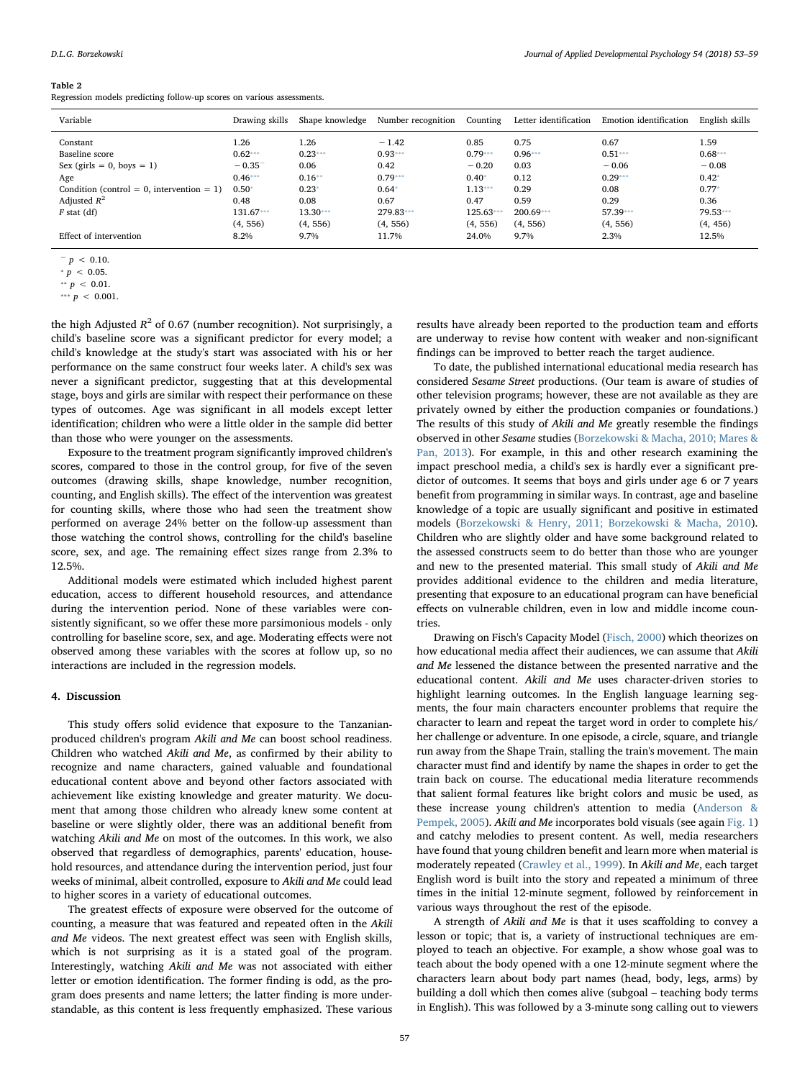#### <span id="page-4-0"></span>Table 2

Regression models predicting follow-up scores on various assessments.

| Variable                                  | Drawing skills       | Shape knowledge | Number recognition | Counting    | Letter identification | Emotion identification | English skills |
|-------------------------------------------|----------------------|-----------------|--------------------|-------------|-----------------------|------------------------|----------------|
| Constant                                  | 1.26                 | 1.26            | $-1.42$            | 0.85        | 0.75                  | 0.67                   | 1.59           |
| Baseline score                            | $0.62***$            | $0.23***$       | $0.93***$          | $0.79***$   | $0.96***$             | $0.51***$              | $0.68***$      |
| Sex (girls = 0, boys = 1)                 | $-0.35$ <sup>-</sup> | 0.06            | 0.42               | $-0.20$     | 0.03                  | $-0.06$                | $-0.08$        |
| Age                                       | $0.46***$            | $0.16**$        | $0.79***$          | $0.40*$     | 0.12                  | $0.29***$              | $0.42*$        |
| Condition (control = 0, intervention = 1) | $0.50*$              | $0.23*$         | $0.64*$            | $1.13***$   | 0.29                  | 0.08                   | $0.77*$        |
| Adjusted $R^2$                            | 0.48                 | 0.08            | 0.67               | 0.47        | 0.59                  | 0.29                   | 0.36           |
| $F$ stat (df)                             | 131.67***            | $13.30***$      | 279.83***          | $125.63***$ | 200.69***             | 57.39***               | 79.53***       |
|                                           | (4, 556)             | (4, 556)        | (4, 556)           | (4, 556)    | (4, 556)              | (4, 556)               | (4, 456)       |
| Effect of intervention                    | 8.2%                 | 9.7%            | 11.7%              | 24.0%       | 9.7%                  | 2.3%                   | 12.5%          |

<span id="page-4-2"></span> $^{-}$  p < 0.10.

```
*** p < 0.001.
```
the high Adjusted  $R^2$  of 0.67 (number recognition). Not surprisingly, a child's baseline score was a significant predictor for every model; a child's knowledge at the study's start was associated with his or her performance on the same construct four weeks later. A child's sex was never a significant predictor, suggesting that at this developmental stage, boys and girls are similar with respect their performance on these types of outcomes. Age was significant in all models except letter identification; children who were a little older in the sample did better than those who were younger on the assessments.

Exposure to the treatment program significantly improved children's scores, compared to those in the control group, for five of the seven outcomes (drawing skills, shape knowledge, number recognition, counting, and English skills). The effect of the intervention was greatest for counting skills, where those who had seen the treatment show performed on average 24% better on the follow-up assessment than those watching the control shows, controlling for the child's baseline score, sex, and age. The remaining effect sizes range from 2.3% to 12.5%.

Additional models were estimated which included highest parent education, access to different household resources, and attendance during the intervention period. None of these variables were consistently significant, so we offer these more parsimonious models - only controlling for baseline score, sex, and age. Moderating effects were not observed among these variables with the scores at follow up, so no interactions are included in the regression models.

#### 4. Discussion

This study offers solid evidence that exposure to the Tanzanianproduced children's program Akili and Me can boost school readiness. Children who watched Akili and Me, as confirmed by their ability to recognize and name characters, gained valuable and foundational educational content above and beyond other factors associated with achievement like existing knowledge and greater maturity. We document that among those children who already knew some content at baseline or were slightly older, there was an additional benefit from watching Akili and Me on most of the outcomes. In this work, we also observed that regardless of demographics, parents' education, household resources, and attendance during the intervention period, just four weeks of minimal, albeit controlled, exposure to Akili and Me could lead to higher scores in a variety of educational outcomes.

The greatest effects of exposure were observed for the outcome of counting, a measure that was featured and repeated often in the Akili and Me videos. The next greatest effect was seen with English skills, which is not surprising as it is a stated goal of the program. Interestingly, watching Akili and Me was not associated with either letter or emotion identification. The former finding is odd, as the program does presents and name letters; the latter finding is more understandable, as this content is less frequently emphasized. These various

results have already been reported to the production team and efforts are underway to revise how content with weaker and non-significant findings can be improved to better reach the target audience.

To date, the published international educational media research has considered Sesame Street productions. (Our team is aware of studies of other television programs; however, these are not available as they are privately owned by either the production companies or foundations.) The results of this study of Akili and Me greatly resemble the findings observed in other Sesame studies [\(Borzekowski & Macha, 2010; Mares &](#page-5-10) [Pan, 2013\)](#page-5-10). For example, in this and other research examining the impact preschool media, a child's sex is hardly ever a significant predictor of outcomes. It seems that boys and girls under age 6 or 7 years benefit from programming in similar ways. In contrast, age and baseline knowledge of a topic are usually significant and positive in estimated models [\(Borzekowski & Henry, 2011; Borzekowski & Macha, 2010](#page-5-9)). Children who are slightly older and have some background related to the assessed constructs seem to do better than those who are younger and new to the presented material. This small study of Akili and Me provides additional evidence to the children and media literature, presenting that exposure to an educational program can have beneficial effects on vulnerable children, even in low and middle income countries.

Drawing on Fisch's Capacity Model [\(Fisch, 2000\)](#page-6-10) which theorizes on how educational media affect their audiences, we can assume that Akili and Me lessened the distance between the presented narrative and the educational content. Akili and Me uses character-driven stories to highlight learning outcomes. In the English language learning segments, the four main characters encounter problems that require the character to learn and repeat the target word in order to complete his/ her challenge or adventure. In one episode, a circle, square, and triangle run away from the Shape Train, stalling the train's movement. The main character must find and identify by name the shapes in order to get the train back on course. The educational media literature recommends that salient formal features like bright colors and music be used, as these increase young children's attention to media ([Anderson &](#page-5-13) [Pempek, 2005\)](#page-5-13). Akili and Me incorporates bold visuals (see again [Fig. 1\)](#page-2-0) and catchy melodies to present content. As well, media researchers have found that young children benefit and learn more when material is moderately repeated [\(Crawley et al., 1999\)](#page-5-6). In Akili and Me, each target English word is built into the story and repeated a minimum of three times in the initial 12-minute segment, followed by reinforcement in various ways throughout the rest of the episode.

A strength of Akili and Me is that it uses scaffolding to convey a lesson or topic; that is, a variety of instructional techniques are employed to teach an objective. For example, a show whose goal was to teach about the body opened with a one 12-minute segment where the characters learn about body part names (head, body, legs, arms) by building a doll which then comes alive (subgoal – teaching body terms in English). This was followed by a 3-minute song calling out to viewers

<span id="page-4-4"></span> $p < 0.05$ .

<span id="page-4-3"></span><sup>\*\*</sup>  $p < 0.01$ .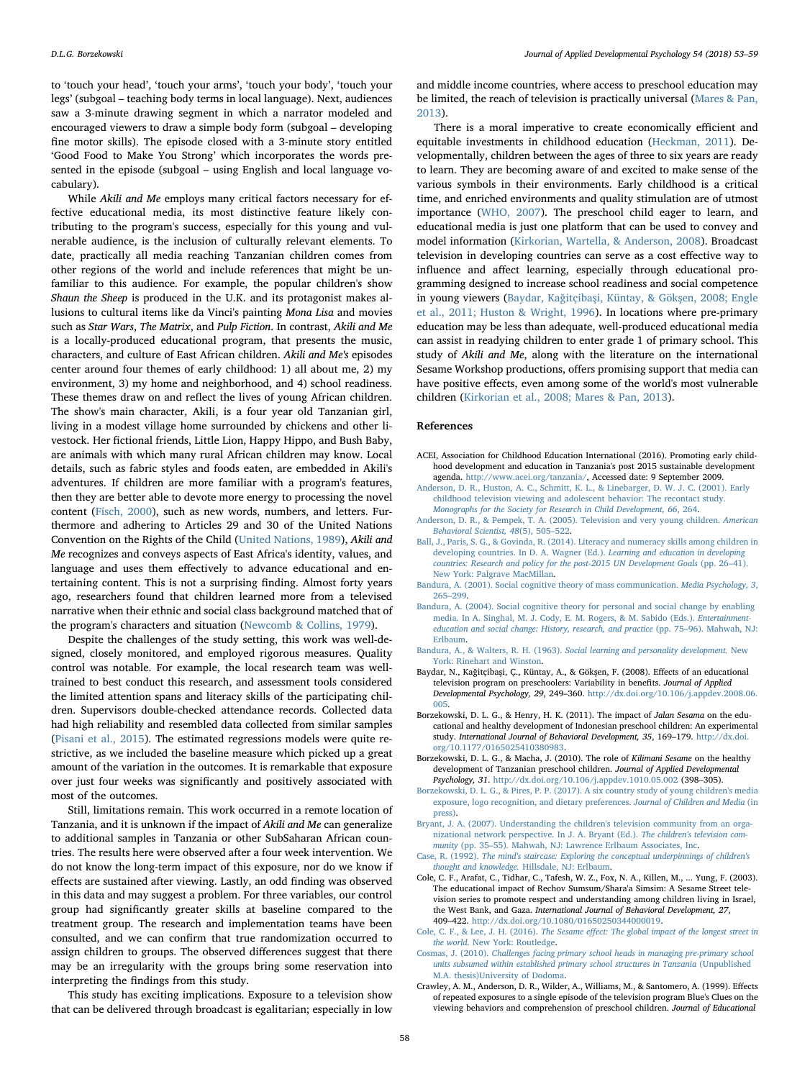to 'touch your head', 'touch your arms', 'touch your body', 'touch your legs' (subgoal – teaching body terms in local language). Next, audiences saw a 3-minute drawing segment in which a narrator modeled and encouraged viewers to draw a simple body form (subgoal – developing fine motor skills). The episode closed with a 3-minute story entitled 'Good Food to Make You Strong' which incorporates the words presented in the episode (subgoal – using English and local language vocabulary).

While Akili and Me employs many critical factors necessary for effective educational media, its most distinctive feature likely contributing to the program's success, especially for this young and vulnerable audience, is the inclusion of culturally relevant elements. To date, practically all media reaching Tanzanian children comes from other regions of the world and include references that might be unfamiliar to this audience. For example, the popular children's show Shaun the Sheep is produced in the U.K. and its protagonist makes allusions to cultural items like da Vinci's painting Mona Lisa and movies such as Star Wars, The Matrix, and Pulp Fiction. In contrast, Akili and Me is a locally-produced educational program, that presents the music, characters, and culture of East African children. Akili and Me's episodes center around four themes of early childhood: 1) all about me, 2) my environment, 3) my home and neighborhood, and 4) school readiness. These themes draw on and reflect the lives of young African children. The show's main character, Akili, is a four year old Tanzanian girl, living in a modest village home surrounded by chickens and other livestock. Her fictional friends, Little Lion, Happy Hippo, and Bush Baby, are animals with which many rural African children may know. Local details, such as fabric styles and foods eaten, are embedded in Akili's adventures. If children are more familiar with a program's features, then they are better able to devote more energy to processing the novel content [\(Fisch, 2000\)](#page-6-10), such as new words, numbers, and letters. Furthermore and adhering to Articles 29 and 30 of the United Nations Convention on the Rights of the Child ([United Nations, 1989\)](#page-6-17), Akili and Me recognizes and conveys aspects of East Africa's identity, values, and language and uses them effectively to advance educational and entertaining content. This is not a surprising finding. Almost forty years ago, researchers found that children learned more from a televised narrative when their ethnic and social class background matched that of the program's characters and situation ([Newcomb & Collins, 1979\)](#page-6-18).

Despite the challenges of the study setting, this work was well-designed, closely monitored, and employed rigorous measures. Quality control was notable. For example, the local research team was welltrained to best conduct this research, and assessment tools considered the limited attention spans and literacy skills of the participating children. Supervisors double-checked attendance records. Collected data had high reliability and resembled data collected from similar samples (Pisani [et al., 2015](#page-6-14)). The estimated regressions models were quite restrictive, as we included the baseline measure which picked up a great amount of the variation in the outcomes. It is remarkable that exposure over just four weeks was significantly and positively associated with most of the outcomes.

Still, limitations remain. This work occurred in a remote location of Tanzania, and it is unknown if the impact of Akili and Me can generalize to additional samples in Tanzania or other SubSaharan African countries. The results here were observed after a four week intervention. We do not know the long-term impact of this exposure, nor do we know if effects are sustained after viewing. Lastly, an odd finding was observed in this data and may suggest a problem. For three variables, our control group had significantly greater skills at baseline compared to the treatment group. The research and implementation teams have been consulted, and we can confirm that true randomization occurred to assign children to groups. The observed differences suggest that there may be an irregularity with the groups bring some reservation into interpreting the findings from this study.

This study has exciting implications. Exposure to a television show that can be delivered through broadcast is egalitarian; especially in low

and middle income countries, where access to preschool education may be limited, the reach of television is practically universal [\(Mares & Pan,](#page-6-9) [2013\)](#page-6-9).

There is a moral imperative to create economically efficient and equitable investments in childhood education ([Heckman, 2011\)](#page-6-19). Developmentally, children between the ages of three to six years are ready to learn. They are becoming aware of and excited to make sense of the various symbols in their environments. Early childhood is a critical time, and enriched environments and quality stimulation are of utmost importance ([WHO, 2007\)](#page-6-4). The preschool child eager to learn, and educational media is just one platform that can be used to convey and model information [\(Kirkorian, Wartella, & Anderson, 2008](#page-6-20)). Broadcast television in developing countries can serve as a cost effective way to influence and affect learning, especially through educational programming designed to increase school readiness and social competence in young viewers (Baydar, Kağitҫibaş[i, Küntay, & Gök](#page-5-14)şen, 2008; Engle [et al., 2011; Huston & Wright, 1996\)](#page-5-14). In locations where pre-primary education may be less than adequate, well-produced educational media can assist in readying children to enter grade 1 of primary school. This study of Akili and Me, along with the literature on the international Sesame Workshop productions, offers promising support that media can have positive effects, even among some of the world's most vulnerable children [\(Kirkorian et al., 2008; Mares & Pan, 2013](#page-6-20)).

## References

- <span id="page-5-1"></span>ACEI, Association for Childhood Education International (2016). Promoting early childhood development and education in Tanzania's post 2015 sustainable development agenda. [http://www.acei.org/tanzania/,](http://www.acei.org/tanzania/) Accessed date: 9 September 2009.
- <span id="page-5-8"></span>[Anderson, D. R., Huston, A. C., Schmitt, K. L., & Linebarger, D. W. J. C. \(2001\). Early](http://refhub.elsevier.com/S0193-3973(17)30085-0/rf0010) [childhood television viewing and adolescent behavior: The recontact study.](http://refhub.elsevier.com/S0193-3973(17)30085-0/rf0010) [Monographs for the Society for Research in Child Development, 66](http://refhub.elsevier.com/S0193-3973(17)30085-0/rf0010), 264.
- <span id="page-5-13"></span>[Anderson, D. R., & Pempek, T. A. \(2005\). Television and very young children.](http://refhub.elsevier.com/S0193-3973(17)30085-0/rf0015) American [Behavioral Scientist, 48](http://refhub.elsevier.com/S0193-3973(17)30085-0/rf0015)(5), 505–522.
- <span id="page-5-0"></span>[Ball, J., Paris, S. G., & Govinda, R. \(2014\). Literacy and numeracy skills among children in](http://refhub.elsevier.com/S0193-3973(17)30085-0/rf0020) [developing countries. In D. A. Wagner \(Ed.\).](http://refhub.elsevier.com/S0193-3973(17)30085-0/rf0020) Learning and education in developing [countries: Research and policy for the post-2015 UN Development Goals](http://refhub.elsevier.com/S0193-3973(17)30085-0/rf0020) (pp. 26–41). [New York: Palgrave MacMillan](http://refhub.elsevier.com/S0193-3973(17)30085-0/rf0020).
- <span id="page-5-4"></span>[Bandura, A. \(2001\). Social cognitive theory of mass communication.](http://refhub.elsevier.com/S0193-3973(17)30085-0/rf0025) Media Psychology, 3, 265–[299](http://refhub.elsevier.com/S0193-3973(17)30085-0/rf0025).
- <span id="page-5-5"></span>[Bandura, A. \(2004\). Social cognitive theory for personal and social change by enabling](http://refhub.elsevier.com/S0193-3973(17)30085-0/rf0030) [media. In A. Singhal, M. J. Cody, E. M. Rogers, & M. Sabido \(Eds.\).](http://refhub.elsevier.com/S0193-3973(17)30085-0/rf0030) Entertainment[education and social change: History, research, and practice](http://refhub.elsevier.com/S0193-3973(17)30085-0/rf0030) (pp. 75–96). Mahwah, NJ: [Erlbaum](http://refhub.elsevier.com/S0193-3973(17)30085-0/rf0030).
- Bandura, A., & Walters, R. H. (1963). [Social learning and personality development.](http://refhub.elsevier.com/S0193-3973(17)30085-0/rf0035) New [York: Rinehart and Winston](http://refhub.elsevier.com/S0193-3973(17)30085-0/rf0035).
- <span id="page-5-14"></span>Baydar, N., Kağitçibaşi, Ç., Küntay, A., & Gökşen, F. (2008). Effects of an educational television program on preschoolers: Variability in benefits. Journal of Applied Developmental Psychology, 29, 249–360. [http://dx.doi.org/10.106/j.appdev.2008.06.](http://dx.doi.org/10.106/j.appdev.2008.06.005) [005](http://dx.doi.org/10.106/j.appdev.2008.06.005).
- <span id="page-5-9"></span>Borzekowski, D. L. G., & Henry, H. K. (2011). The impact of Jalan Sesama on the educational and healthy development of Indonesian preschool children: An experimental study. International Journal of Behavioral Development, 35, 169–179. [http://dx.doi.](http://dx.doi.org/10.1177/0165025410380983) [org/10.1177/0165025410380983.](http://dx.doi.org/10.1177/0165025410380983)
- <span id="page-5-10"></span>Borzekowski, D. L. G., & Macha, J. (2010). The role of Kilimani Sesame on the healthy development of Tanzanian preschool children. Journal of Applied Developmental Psychology, 31. <http://dx.doi.org/10.106/j.appdev.1010.05.002> (398–305).
- <span id="page-5-12"></span>[Borzekowski, D. L. G., & Pires, P. P. \(2017\). A six country study of young children's media](http://refhub.elsevier.com/S0193-3973(17)30085-0/rf0055) [exposure, logo recognition, and dietary preferences.](http://refhub.elsevier.com/S0193-3973(17)30085-0/rf0055) Journal of Children and Media (in [press\)](http://refhub.elsevier.com/S0193-3973(17)30085-0/rf0055).
- <span id="page-5-11"></span>[Bryant, J. A. \(2007\). Understanding the children's television community from an orga](http://refhub.elsevier.com/S0193-3973(17)30085-0/rf0060)[nizational network perspective. In J. A. Bryant \(Ed.\).](http://refhub.elsevier.com/S0193-3973(17)30085-0/rf0060) The children's television community (pp. 35–[55\). Mahwah, NJ: Lawrence Erlbaum Associates, Inc.](http://refhub.elsevier.com/S0193-3973(17)30085-0/rf0060)
- <span id="page-5-3"></span>Case, R. (1992). [The mind's staircase: Exploring the conceptual underpinnings of children's](http://refhub.elsevier.com/S0193-3973(17)30085-0/rf0065) thought and knowledge. [Hillsdale, NJ: Erlbaum.](http://refhub.elsevier.com/S0193-3973(17)30085-0/rf0065)
- Cole, C. F., Arafat, C., Tidhar, C., Tafesh, W. Z., Fox, N. A., Killen, M., ... Yung, F. (2003). The educational impact of Rechov Sumsum/Shara'a Simsim: A Sesame Street television series to promote respect and understanding among children living in Israel, the West Bank, and Gaza. International Journal of Behavioral Development, 27, 409–422. <http://dx.doi.org/10.1080/01650250344000019>.
- <span id="page-5-7"></span>Cole, C. F., & Lee, J. H. (2016). The Sesame eff[ect: The global impact of the longest street in](http://refhub.elsevier.com/S0193-3973(17)30085-0/rf0075) the world. [New York: Routledge](http://refhub.elsevier.com/S0193-3973(17)30085-0/rf0075).
- <span id="page-5-2"></span>Cosmas, J. (2010). [Challenges facing primary school heads in managing pre-primary school](http://refhub.elsevier.com/S0193-3973(17)30085-0/rf0080) [units subsumed within established primary school structures in Tanzania](http://refhub.elsevier.com/S0193-3973(17)30085-0/rf0080) (Unpublished [M.A. thesis\)University of Dodoma.](http://refhub.elsevier.com/S0193-3973(17)30085-0/rf0080)
- <span id="page-5-6"></span>Crawley, A. M., Anderson, D. R., Wilder, A., Williams, M., & Santomero, A. (1999). Effects of repeated exposures to a single episode of the television program Blue's Clues on the viewing behaviors and comprehension of preschool children. Journal of Educational